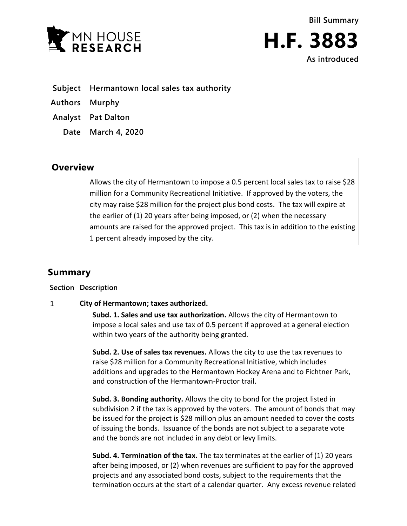

- **Subject Hermantown local sales tax authority**
- **Authors Murphy**
- **Analyst Pat Dalton**
	- **Date March 4, 2020**

## **Overview**

Allows the city of Hermantown to impose a 0.5 percent local sales tax to raise \$28 million for a Community Recreational Initiative. If approved by the voters, the city may raise \$28 million for the project plus bond costs. The tax will expire at the earlier of (1) 20 years after being imposed, or (2) when the necessary amounts are raised for the approved project. This tax is in addition to the existing 1 percent already imposed by the city.

## **Summary**

**Section Description**

## $\mathbf{1}$ **City of Hermantown; taxes authorized.**

**Subd. 1. Sales and use tax authorization.** Allows the city of Hermantown to impose a local sales and use tax of 0.5 percent if approved at a general election within two years of the authority being granted.

**Subd. 2. Use of sales tax revenues.** Allows the city to use the tax revenues to raise \$28 million for a Community Recreational Initiative, which includes additions and upgrades to the Hermantown Hockey Arena and to Fichtner Park, and construction of the Hermantown-Proctor trail.

**Subd. 3. Bonding authority.** Allows the city to bond for the project listed in subdivision 2 if the tax is approved by the voters. The amount of bonds that may be issued for the project is \$28 million plus an amount needed to cover the costs of issuing the bonds. Issuance of the bonds are not subject to a separate vote and the bonds are not included in any debt or levy limits.

**Subd. 4. Termination of the tax.** The tax terminates at the earlier of (1) 20 years after being imposed, or (2) when revenues are sufficient to pay for the approved projects and any associated bond costs, subject to the requirements that the termination occurs at the start of a calendar quarter. Any excess revenue related